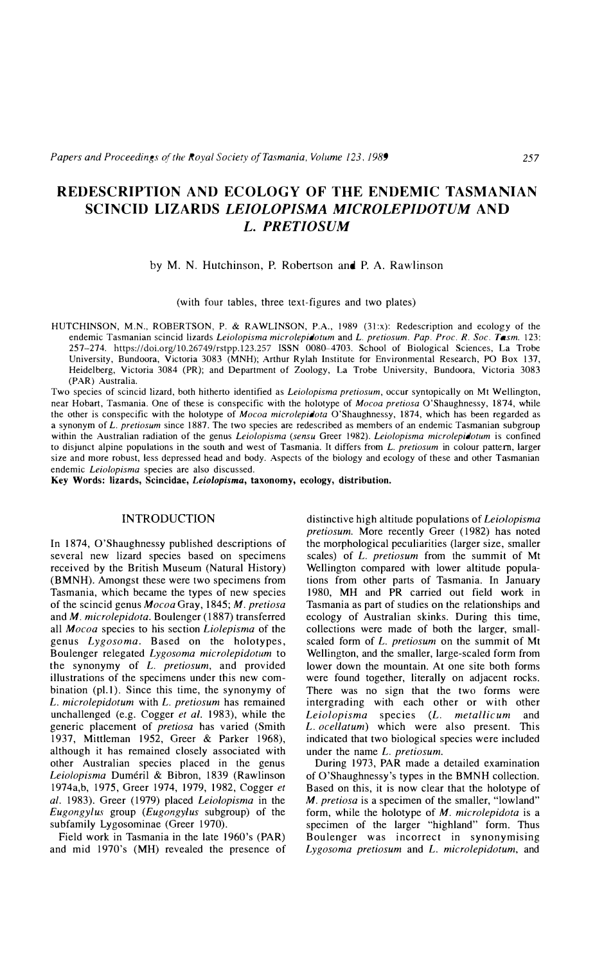# **REDESCRIPTION AND ECOLOGY OF THE ENDEMIC TASMANIAN SCINCID LIZARDS** *LEIOLOPISMA MICROLEPIDOTUM* **AND**  *L. PRETIOSUM*

### by M. N. Hutchinson, P. Robertson and P. A. Rawlinson

## (with four tables, three text-figures and two plates)

HUTCHINSON, M.N., ROBERTSON, P. & RAWLINSON, P.A., 1989 (31:x): Redescription and ecology of the endemic Tasmanian scincid lizards *Leiolopisma microlepidotum* and *L. pretiosum. Pap. Proc. R. Soc. Tasm.* 123: 257-274. https://doi.org/10.26749/rstpp.123.257 ISSN 0080-4703. School of Biological Sciences, La Trobe University, Bundoora, Victoria 3083 (MNH); Arthur Rylah Institute for Environmental Research, PO Box 137, Heidelberg, Victoria 3084 (PR); and Department of Zoology, La Trobe University, Bundoora, Victoria 3083 (PAR) Australia.

Two species of scincid lizard, both hitherto identified as *Leiolopisma pretiosum,* occur syntopically on Mt Wellington, near Hobart, Tasmania. One of these is conspecific with the holotype of *Mocoa pretiosa* O'Shaughnessy, 1874. while the other is conspecific with the holotype of *Mocoa microlepidota* O'Shaughnessy, 1874, which has been regarded as a synonym of *L. pretiosum* since 1887. The two species are redescribed as members of an endemic Tasmanian subgroup within the Australian radiation of the genus *Leiolopisma (sensu* Greer 1982). *Leiolopisma microlepidotum* is confined to disjunct alpine populations in the south and west of Tasmania. It differs from *L. pretiosum* in colour pattern, larger size and more robust, less depressed head and body. Aspects of the biology and ecology of these and other Tasmanian endemic *Leiolopisma* species are also discussed.

**Key Words: lizards, Scincidae,** *Leiolopisma,* **taxonomy, ecology, distribution.** 

## **INTRODUCTION**

In 1874, O'Shaughnessy published descriptions of several new lizard species based on specimens received by the British Museum (Natural History) **(BMNH).** Amongst these were two specimens from Tasmania, which became the types of new species of the scincid genus *Mocoa* Gray, 1845; *M. pretiosa*  and *M. microlepidota.* Boulenger (1887) transferred all *Mocoa* species to his section *Liolepisma* of the genus *Lygosoma.* Based on the holotypes, Boulenger relegated *Lygosoma microlepidotum* to the synonymy of *L. pretiosum,* and provided illustrations of the specimens under this new combination (pl.1). Since this time, the synonymy of *L. microlepidotum* with *L. pretiosum* has remained unchallenged (e.g. Cogger *et al.* 1983), while the generic placement of *pretiosa* has varied (Smith 1937, Mittleman 1952, Greer & Parker 1968), although it has remained closely associated with other Australian species placed in the genus *Leiolopisma* Dumeril & Bibron, 1839 (Rawlinson 1974a,b, 1975, Greer 1974, 1979, 1982, Cogger *et al.* 1983). Greer (1979) placed *Leiolopisma* in the *Eugongylus* group *(Eugongylus* subgroup) of the subfamily Lygosominae (Greer 1970).

Field work in Tasmania in the late 1960's (PAR) and mid 1970's **(MH)** revealed the presence of

distinctive high altitude populations of *Leiolopisma pretiosum.* More recently Greer ( 1982) has noted the morphological peculiarities (larger size, smaller scales) of *L. pretiosum* from the summit of Mt Wellington compared with lower altitude populations from other parts of Tasmania. In January 1980, **MH** and PR carried out field work in Tasmania as part of studies on the relationships and ecology of Australian skinks. During this time, collections were made of both the larger, smallscaled form of *L. pretiosum* on the summit of Mt Wellington, and the smaller, large-scaled form from lower down the mountain. At one site both forms were found together, literally on adjacent rocks. There was no sign that the two forms were intergrading with each other or with other *Leiolopisma* species *(L. metallicum* and *L. ocellatum)* which were also present. This indicated that two biological species were included under the name *L. pretiosum.*

During 1973, PAR made a detailed examination of O'Shaughnessy's types in the BMNH collection. Based on this, it is now clear that the holotype of *M. pretiosa* is a specimen of the smaller, "lowland" form, while the holotype of *M. microlepidota* is a specimen of the larger "highland" form. Thus Boulenger was incorrect in synonymising *Lygosoma pretiosum* and *L. microlepidotum,* and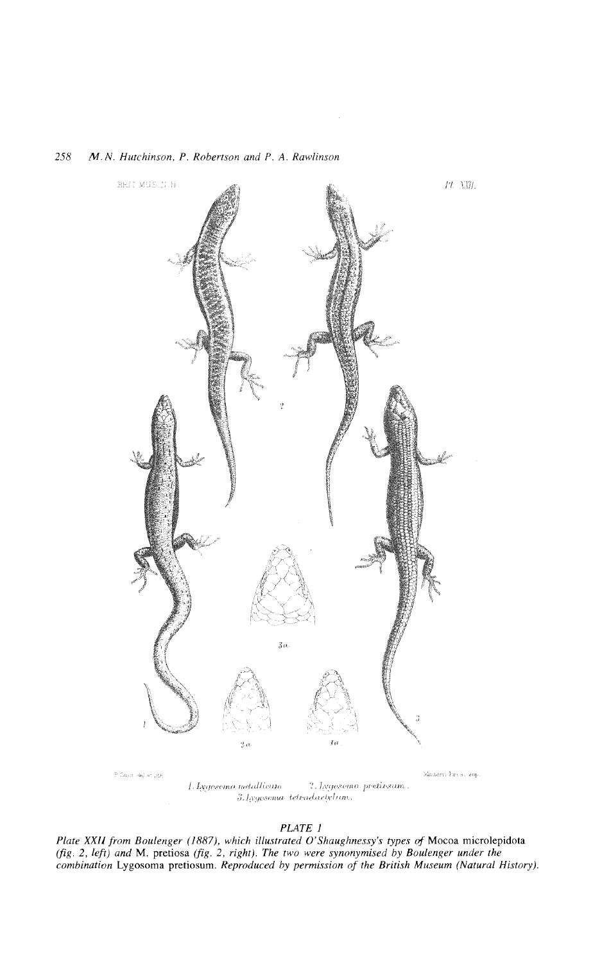

*PLATE 1*

*Plate XX/J from Boulenger* (1887), *which illustrated O'Shaughnessy's types* of Moeoa mierolepidota *(fig.* 2, *left) and* M. pretiosa *(fig.* 2, *right). The two were synonymised by Boulenger under the combination* Lygosoma pretiosum. *Reproduced by permission of the British Museum (Natural History).*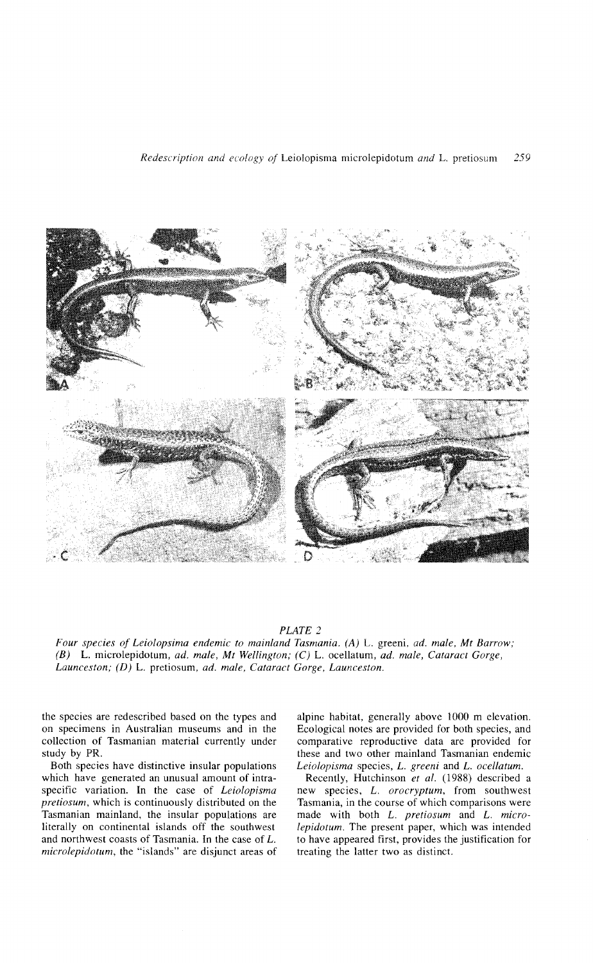

*PLATE 2*

*Four species of Leiolopsima endemic to mainland Tasmania.* (A) L. greeni, *ad. male, Mt Barrow; (B)* L. microlepidotum, *ad. male, Mt Wellington;* (C) L. ocellatum, *ad. male, Cataract Gorge, Launceston;* (D) L. pretiosum, *ad. male, Cataract Gorge, Launceston.*

the species are redescribed based on the types and on specimens in Australian museums and in the collection of Tasmanian material currently under study by PR.

Both species have distinctive insular populations which have generated an unusual amount of intraspecific variation. In the case of *Leiolopisma pretiosum,* which is continuously distributed on the Tasmanian mainland, the insular populations are literally on continental islands off the southwest and northwest coasts of Tasmania. In the case of L. *mierolepidotum,* the "islands" are disjunct areas of alpine habitat, generally above 1000 m elevation. Ecological notes are provided for both species, and comparative reproductive data are provided for these and two other mainland Tasmanian endemic *Leiolopisma* species, L. *greeni* and L. *ocellatum.*

Recently, Hutchinson *et al.* (1988) described a new species, L. *orocryptum,* from southwest Tasmania, in the course of which comparisons were made with both L. *pretiosum* and L. *microlepidotum.* The present paper, which was intended to have appeared first, provides the justification for treating the latter two as distinct.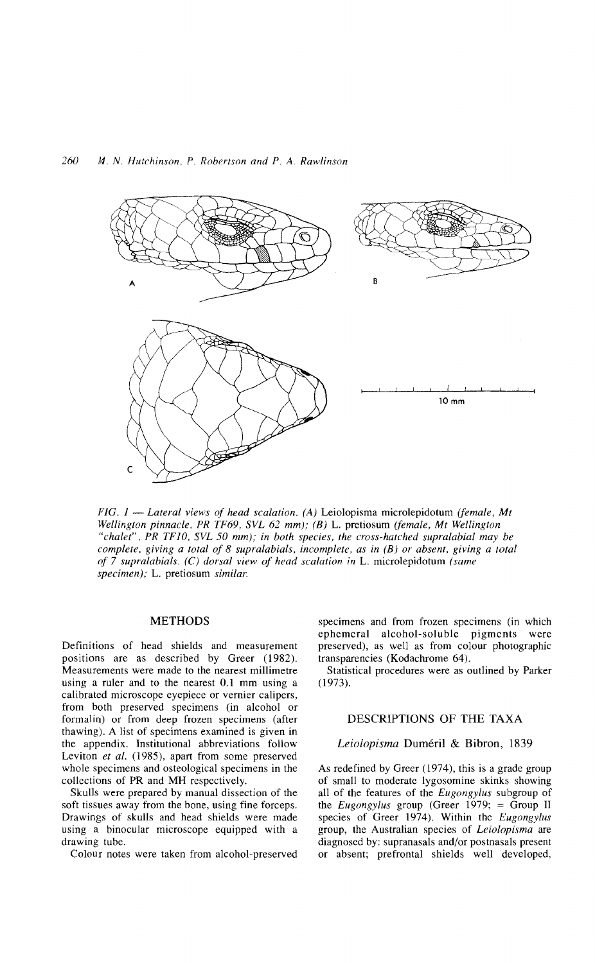

*FIG. 1* - *Lateral views of head scalation. (A)* Leiolopisma microlepidotum *(female, Mt Wellington pinnacle, PR* TF69, *SVL* 62 *mm);* (B) L. pretiosum *(female, Mt Wellington "chalet", PR* TFlO, *SVL* 50 *mm); in both species, the cross-hatched supralabial may be complete, giving a total of* 8 *supralabials, incomplete, as in* (B) *or absent, giving a total of* 7 *supralabials.* (C) *dorsal view of head scalation in* L. microlepidotum *(same specimen);* L. pretiosum *similar.*

### METHODS

Definitions of head shields and measurement positions are as described by Greer (1982). Measurements were made to the nearest millimetre using a ruler and to the nearest 0.1 mm using a calibrated microscope eyepiece or vernier calipers, from both preserved specimens (in alcohol or formalin) or from deep frozen specimens (after thawing). A list of specimens examined is given in the appendix. Institutional abbreviations follow Leviton *et al.* (1985), apart from some preserved whole specimens and osteological specimens in the collections of PR and MH respectively.

Skulls were prepared by manual dissection of the soft tissues away from the bone, using fine forceps. Drawings of skulls and head shields were made using a binocular microscope equipped with a drawing tube.

Colour notes were taken from alcohol-preserved

specimens and from frozen specimens (in which ephemeral alcohol-soluble pigments were preserved), as well as from colour photographic transparencies (Kodachrome 64).

Statistical procedures were as outlined by Parker (1973).

## DESCRIPTIONS OF THE TAXA

### *Leiolopisma* Dumeril & Bibron, 1839

As redefined by Greer (1974), this is a grade group of small to moderate Iygosomine skinks showing all of the features of the *Eugongylus* subgroup of the *Eugongylus* group (Greer 1979; = Group II species of Greer 1974). Within the *Eugongylus* group, the Australian species of *Leiolopisma* are diagnosed by: supranasals and/or postnasals present or absent; prefrontal shields well developed,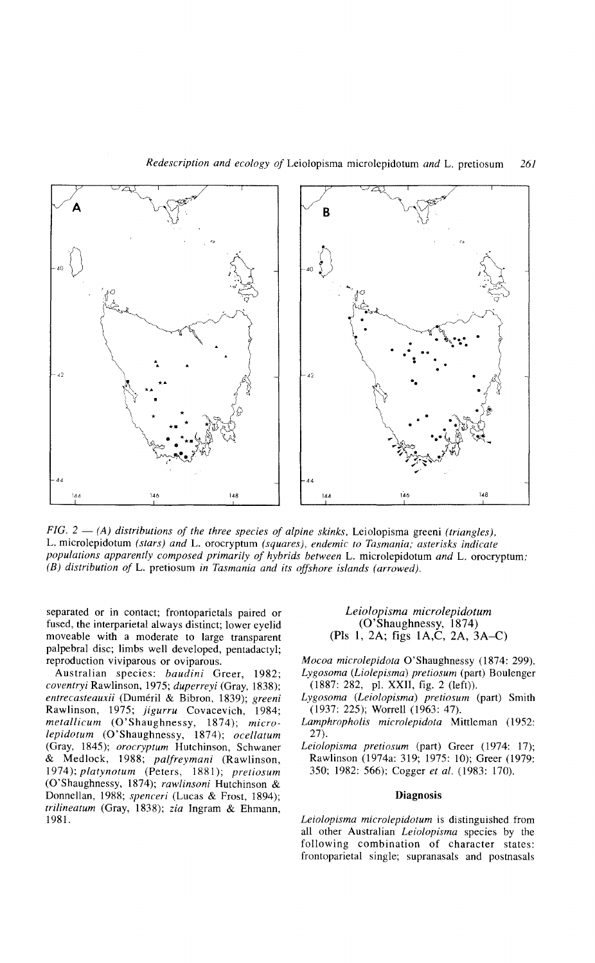

*FiG.* 2 - *(A) distributions of the three species of alpine skinks,* Leiolopisma greeni *(triangles),* L. microlepidotum *(stars) and* L. orocryptum *(squares), endemic to Tasmania; asterisks indicate populations apparently composed primarily of hybrids between* L. microlepidotum *and* L. orocryptum; (B) *distribution of* L. pretiosum *in Tasmania and its offshore islands (arrowed).*

separated or in contact; frontoparietals paired or fused, the interparietal always distinct; lower eyelid moveable with a moderate to large transparent palpebral disc; limbs well developed, pentadactyl; reproduction viviparous or oviparous.

Australian species: *baudini* Greer, 1982; *coventryi* Rawlinson, 1975; *duperreyi* (Gray, 1838); *entrecasteauxii* (Dumeril & Bibron, 1839); *greeni* Rawlinson, 1975; *jigurru* Covacevich, 1984; *metallicum* (O'Shaughnessy, 1874); *microlepidotum* (O'Shaughnessy, 1874); *ocellatum* (Gray, 1845); *orocryptum* Hutchinson, Schwaner & Medlock, 1988; *palfreymani* (Rawlinson, *1974); platynotum* (Peters, 1881); *pretiosum* (O'Shaughnessy, 1874); *rawlinsoni* Hutchinson & Donnellan, 1988; *spenceri* (Lucas & Frost, 1894); *trilineatum* (Gray, 1838); *zia* Ingram & Ehmann, 1981.

## *Leiolopisma microlepidotum* (O'Shaughnessy, 1874) (PIs 1, 2A; figs IA,C, 2A, 3A-C)

*Mocoa microlepidota* O'Shaughnessy (1874: 299). *Lygosoma (Liolepisma) pretiosum* (part) Boulenger (1887: 282, pl. XXII, fig. 2 (left)).

- *Lygosoma (Leiolopisma) pretiosum* (part) Smith (1937: 225); Worrell (1963: 47).
- *Lamphropholis microlepidota* Mittleman (1952: 27).
- *Leiolopisma pretiosum* (part) Greer (1974: 17); Rawlinson (1974a: 319; 1975: 10); Greer (1979: 350; 1982: 566); Cogger *et al.* (1983: 170).

### Diagnosis

*Leiolopisma microlepidotum* is distinguished from all other Australian *Leiolopisma* species by the following combination of character states: frontoparietal single; supranasals and postnasals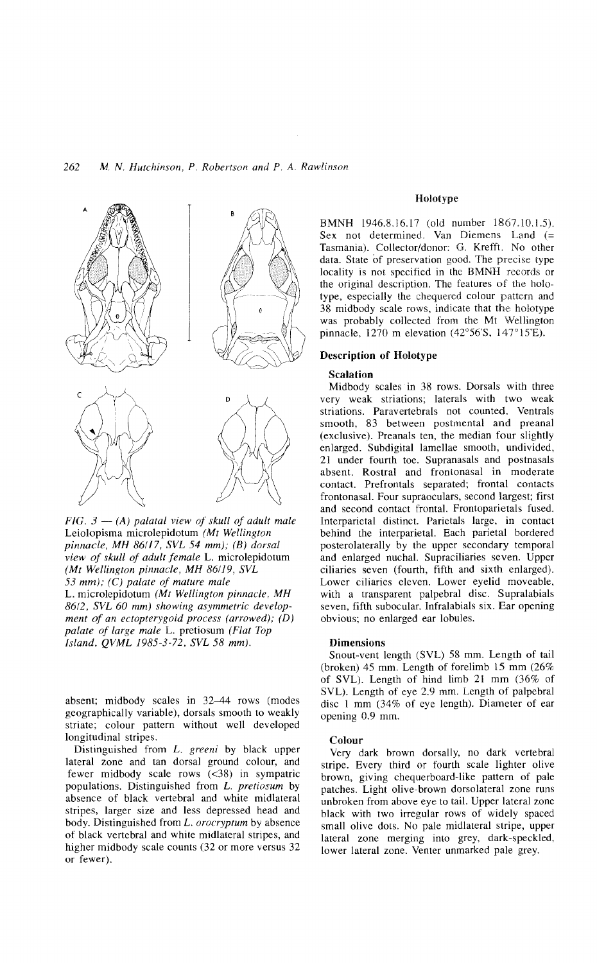

 $FIG. 3 - (A)$  *palatal view of skull of adult male* Leiolopisma microlepidotum *(Mt Wellington pinnacle, MH 86/17, SVL* 54 *mm); (B) dorsal view of skull of adult female* L. microlepidotum *(Mt Wellington pinnacle, MH 86119, SVL 53 mm); (C) palate of mature male* L. microlepidotum *(Mt Wellington pinnacle, MH 86/2, SVL* 60 *mm) showing asymmetric development of an ectopterygoid process (arrowed); (D) palate of large male* L. pretiosum *(Flat Top Island, QVML 1985-3-72, SVL* 58 *mm).*

absent; midbody scales in 32-44 rows (modes geographically variable), dorsals smooth to weakly striate; colour pattern without well developed longitudinal stripes.

Distinguished from L. *greeni* by black upper lateral zone and tan dorsal ground colour, and fewer midbody scale rows  $(<38)$  in sympatric populations. Distinguished from L. *pretiosum* by absence of black vertebral and white midlateral stripes, larger size and less depressed head and body. Distinguished from L. *orocryptum* by absence of black vertebral and white midlateral stripes, and higher midbody scale counts (32 or more versus 32 or fewer).

### Holotype

BMNH 1946.8.16.17 (old number 1867.10.1.5). Sex not determined. Van Diemens Land (= Tasmania). Collector/donor: G. Krefft. No other data. State of preservation good. The precise type locality is not specified in the BMNH records or the original description. The features of the holotype, especially the chequered colour pattern and 38 midbody scale rows, indicate that the holotype was probably collected from the Mt Wellington pinnacle, 1270 m elevation (42°56'S, 147° 15'E).

### Description of Holotype

#### Scalation

Midbody scales in 38 rows. Dorsals with three very weak striations; laterals with two weak striations. Paravertebrals not counted. Ventrals smooth, 83 between postmental and preanal (exclusive). Preanals ten, the median four slightly enlarged. Subdigital lamellae smooth, undivided, 21 under fourth toe. Supranasals and postnasals absent. Rostral and frontonasal in moderate contact. Prefrontals separated; frontal contacts frontonasal. Four supraoculars, second largest; first and second contact frontal. Frontoparietals fused. Interparietal distinct. Parietals large, in contact behind the interparietal. Each parietal bordered posterolaterally by the upper secondary temporal and enlarged nuchal. Supraciliaries seven. Upper ciliaries seven (fourth, fifth and sixth enlarged). Lower ciliaries eleven. Lower eyelid moveable, with a transparent palpebral disc. Supralabials seven, fifth subocular. Infralabials six. Ear opening obvious; no enlarged ear lobules.

### Dimensions

Snout-vent length (SVL) 58 mm. Length of tail (broken) 45 mm. Length of forelimb 15 mm (26% of SVL). Length of hind limb 21 mm (36% of SVL). Length of eye 2.9 mm. Length of palpebral disc 1 mm (34% of eye length). Diameter of ear opening 0.9 mm.

#### Colour

Very dark brown dorsally, no dark vertebral stripe. Every third or fourth scale lighter olive brown, giving chequerboard-like pattern of pale patches. Light olive-brown dorsolateral zone runs unbroken from above eye to tail. Upper lateral zone black with two irregular rows of widely spaced small olive dots. No pale midlateral stripe, upper lateral zone merging into grey, dark-speckled, lower lateral zone. Venter unmarked pale grey.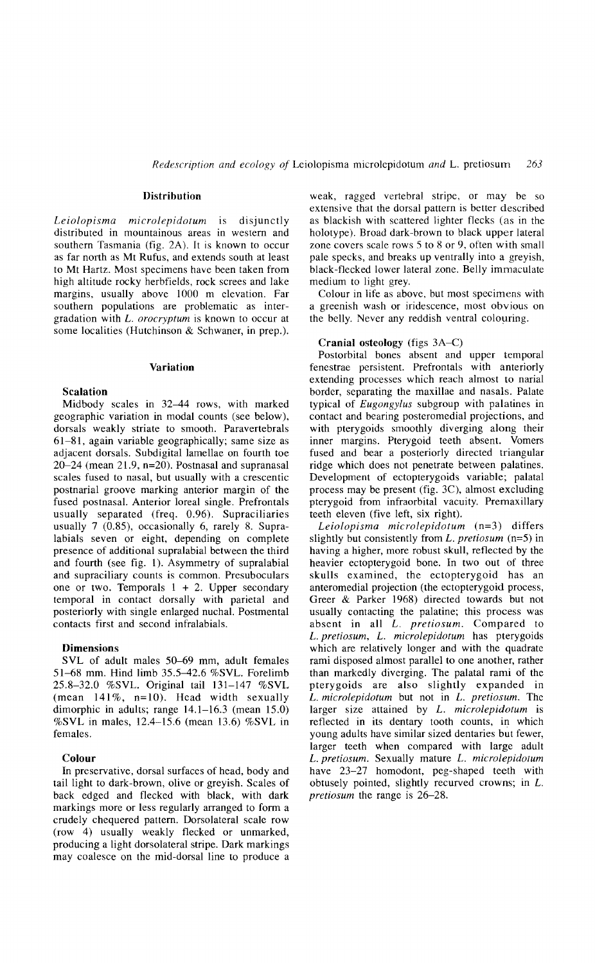## Distribution

*Leiolopisma microlepidotum* IS disjunctly distributed in mountainous areas in western and southern Tasmania (fig. 2A). It is known to occur as far north as Mt Rufus, and extends south at least to Mt Hartz. Most specimens have been taken from high altitude rocky herbfields, rock screes and lake margins, usually above 1000 m elevation. Far southern populations are problematic as intergradation with L. *orocryptum* is known to occur at some localities (Hutchinson & Schwaner, in prep.).

### Variation

#### Scalation

Midbody scales in 32-44 rows, with marked geographic variation in modal counts (see below), dorsals weakly striate to smooth. Paravertebrals 61-81, again variable geographically; same size as adjacent dorsals. Subdigital lamellae on fourth toe 20-24 (mean 21.9, n=20). Postnasal and supranasal scales fused to nasal, but usually with a crescentic postnarial groove marking anterior margin of the fused postnasal. Anterior loreal single. Prefrontals usually separated (freq. 0.96). Supraciliaries usually 7 (0.85), occasionally 6, rarely 8. Supralabials seven or eight, depending on complete presence of additional supralabial between the third and fourth (see fig. 1). Asymmetry of supralabial and supraciliary counts is common. Presuboculars one or two. Temporals  $1 + 2$ . Upper secondary temporal in contact dorsally with parietal and posteriorly with single enlarged nuchal. Postmental contacts first and second infralabials.

### Dimensions

SVL of adult males 50-69 mm, adult females 51-68 mm. Hind limb 35.5-42.6 %SVL. Forelimb 25.8-32.0 %SVL. Original tail 131-147 %SVL (mean  $141\%$ , n=10). Head width sexually dimorphic in adults; range 14.1-16.3 (mean 15.0) % SVL in males, 12.4-15.6 (mean 13.6) % SVL in females.

### Colour

In preservative, dorsal surfaces of head, body and tail light to dark-brown, olive or greyish. Scales of back edged and flecked with black, with dark markings more or less regularly arranged to form a crudely chequered pattern. Dorsolateral scale row (row 4) usually weakly flecked or unmarked, producing a light dorsolateral stripe. Dark markings may coalesce on the mid-dorsal line to produce a weak, ragged vertebral stripe, or may be so extensive that the dorsal pattern is better described as blackish with scattered lighter flecks (as in the holotype). Broad dark-brown to black upper lateral zone covers scale rows 5 to 8 or 9, often with small pale specks, and breaks up ventrally into a greyish, black-flecked lower lateral zone. Belly immaculate medium to light grey.

Colour in life as above, but most specimens with a greenish wash or iridescence, most obvious on the belly. Never any reddish ventral colouring.

#### Cranial osteology (figs 3A-C)

Postorbital bones absent and upper temporal fenestrae persistent. Prefrontals with anteriorly extending processes which reach almost to narial border, separating the maxillae and nasals. Palate typical of *Eugongylus* subgroup with palatines in contact and bearing posteromedial projections, and with pterygoids smoothly diverging along their inner margins. Pterygoid teeth absent. Vomers fused and bear a posteriorly directed triangular ridge which does not penetrate between palatines. Development of ectopterygoids variable; palatal process may be present (fig. 3C), almost excluding pterygoid from infraorbital vacuity. Premaxillary teeth eleven (five left, six right).

*Leiolopisma microlepidotum* (n=3) differs slightly but consistently from *L. pretiosum* (n=5) in having a higher, more robust skull, reflected by the heavier ectopterygoid bone. In two out of three skulls examined, the ectopterygoid has an anteromedial projection (the ectopterygoid process, Greer & Parker 1968) directed towards but not usually contacting the palatine; this process was absent in all *L. pretiosum.* Compared to L. *pretiosum,* L. *microlepidotum* has pterygoids which are relatively longer and with the quadrate rami disposed almost parallel to one another, rather than markedly diverging. The palatal rami of the pterygoids are also slightly expanded in L. *microlepidotum* but not in L. *pretiosum.* The larger size attained by L. *microlepidotum* is reflected in its dentary tooth counts, in which young adults have similar sized dentaries but fewer, larger teeth when compared with large adult L. *pretiosum.* Sexually mature L. *microlepidotum* have 23-27 homodont, peg-shaped teeth with obtusely pointed, slightly recurved crowns; in L. *pretiosum* the range is 26-28.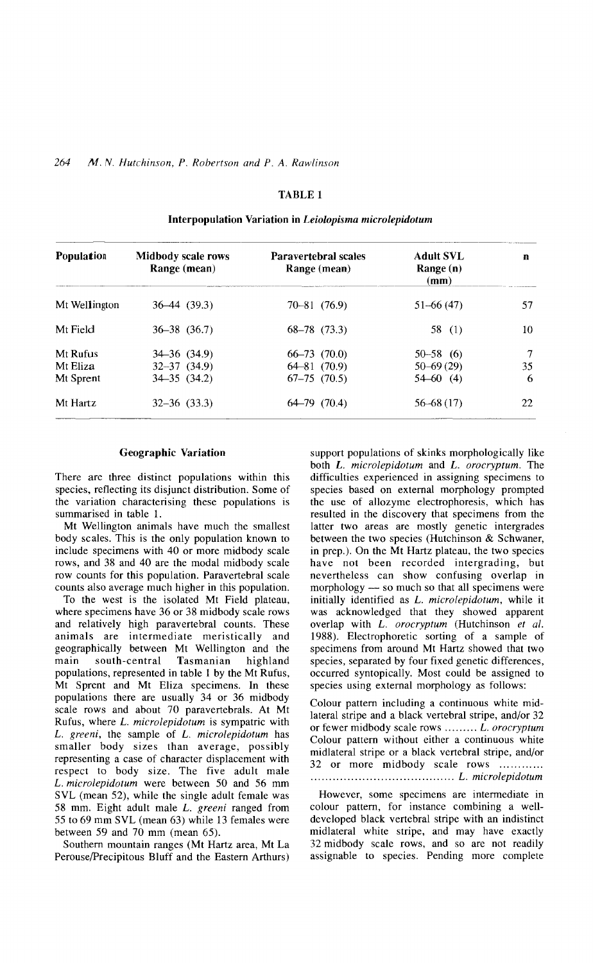## TABLE 1

| <b>Population</b>                 | Midbody scale rows<br>Range (mean)                             | <b>Paravertebral scales</b><br>Range (mean)                | Adult SVL<br>Range (n)<br>(mm)                  | n            |
|-----------------------------------|----------------------------------------------------------------|------------------------------------------------------------|-------------------------------------------------|--------------|
| Mt Wellington                     | $36-44$ (39.3)                                                 | $70 - 81$ $(76.9)$                                         | $51 - 66(47)$                                   | 57           |
| Mt Field                          | $36 - 38$ $(36.7)$                                             | $68-78$ $(73.3)$                                           | 58 $(1)$                                        | 10           |
| Mt Rufus<br>Mt Eliza<br>Mt Sprent | $34 - 36$ $(34.9)$<br>$32 - 37$ $(34.9)$<br>$34 - 35$ $(34.2)$ | $66 - 73$ $(70.0)$<br>$64 - 81$ (70.9)<br>$67-75$ $(70.5)$ | $50 - 58$ (6)<br>$50 - 69(29)$<br>$54 - 60$ (4) | 7<br>35<br>6 |
| Mt Hartz                          | $32 - 36$ $(33.3)$                                             | $64-79$ $(70.4)$                                           | $56 - 68(17)$                                   | 22           |

## Interpopulation Variation in *Leiolopisma microlepidotum*

### Geographic Variation

There are three distinct populations within this species, reflecting its disjunct distribution. Some of the variation characterising these populations is summarised in table 1.

Mt Wellington animals have much the smallest body scales. This is the only population known to include specimens with 40 or more midbody scale rows, and 38 and 40 are the modal midbody scale row counts for this population. Paravertebral scale counts also average much higher in this population.

To the west is the isolated Mt Field plateau, where specimens have 36 or 38 midbody scale rows and relatively high paravertebral counts. These animals are intermediate meristically and geographically between Mt Wellington and the main south-central Tasmanian highland populations, represented in table 1 by the Mt Rufus, Mt Sprent and Mt Eliza specimens. In these populations there are usually 34 or 36 midbody scale rows and about 70 paravertebrals. At Mt Rufus, where L. *microlepidotum* is sympatric with L. *greeni,* the sample of L. *microlepidotum* has smaller body sizes than average, possibly representing a case of character displacement with respect to body size. The five adult male L. *microlepidotum* were between 50 and 56 mm SVL (mean 52), while the single adult female was 58 mm. Eight adult male L. *greeni* ranged from 55 to 69 mm SVL (mean 63) while 13 females were between 59 and 70 mm (mean 65).

Southern mountain ranges (Mt Hartz area, Mt La Perouse/Precipitous Bluff and the Eastern Arthurs)

support populations of skinks morphologically like both L. *microlepidotum* and L. *orocryptum.* The difficulties experienced in assigning specimens to species based on external morphology prompted the use of allozyme electrophoresis, which has resulted in the discovery that specimens from the latter two areas are mostly genetic intergrades between the two species (Hutchinson & Schwaner, in prep.). On the Mt Hartz plateau, the two species have not been recorded intergrading, but nevertheless can show confusing overlap in morphology — so much so that all specimens were initially identified as L. *microlepidotum,* while it was acknowledged that they showed apparent overlap with L. *orocryptum* (Hutchinson *et al.* 1988). Electrophoretic sorting of a sample of specimens from around Mt Hartz showed that two species, separated by four fixed genetic differences, occurred syntopically. Most could be assigned to species using external morphology as follows:

Colour pattern including a continuous white midlateral stripe and a black vertebral stripe, and/or 32 or fewer midbody scale rows ........ L. orocryptum Colour pattern without either a continuous white midlateral stripe or a black vertebral stripe, and/or 32 or more midbody scale rows .. ....................................... L. *microlepidotum*

However, some specimens are intermediate in colour pattern, for instance combining a welldeveloped black vertebral stripe with an indistinct midlateral white stripe, and may have exactly 32 midbody scale rows, and so are not readily assignable to species. Pending more complete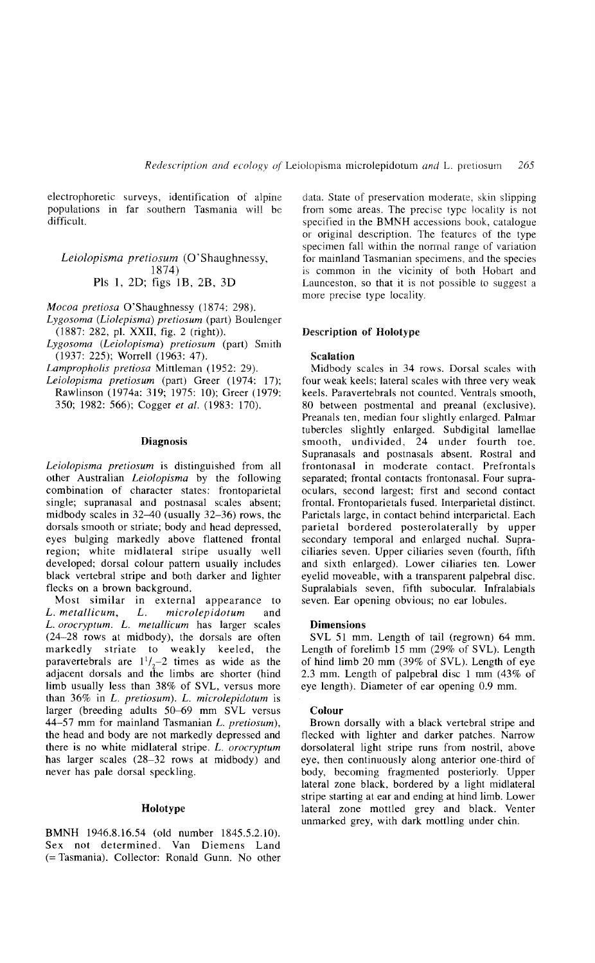electrophoretic surveys, identification of alpine populations in far southern Tasmania will be difficult.

## *Leiolopisma pretiosum* (O'Shaughnessy, 1874) Pls 1, 2D; figs 1B, 2B, 3D

*Mocoa pretiosa* O'Shaughnessy (1874: 298).

- *Lygosoma (Liolepisma) pretiosum* (part) Boulenger (1887: 282, pl. XXII, fig. 2 (right)).
- *Lygosoma (Leiolopisma) pretiosum* (part) Smith (1937: 225); Worrell (1963: 47).

*Lampropholis pretiosa* Mittleman (1952: 29).

*Leiolopisma pretiosum* (part) Greer (1974: 17); Rawlinson (1974a: 319; 1975: 10); Greer (1979: 350; 1982: 566); Cogger *et al.* (1983: 170).

### Diagnosis

*Leiolopisma pretiosum* is distinguished from all other Australian *Leiolopisma* by the following combination of character states: frontoparietal single; supranasal and postnasal scales absent; midbody scales in  $32-40$  (usually  $32-36$ ) rows, the dorsals smooth or striate; body and head depressed, eyes bulging markedly above flattened frontal region; white midlateral stripe usually well developed; dorsal colour pattern usually includes black vertebral stripe and both darker and lighter flecks on a brown background.

Most similar in external appearance to *L. metallicum, L. microlepidotum* and *L. orocryptum. L. metallicum* has larger scales (24-28 rows at midbody), the dorsals are often markedly striate to weakly keeled, the paravertebrals are  $1^{1}/_{2}$  = 2 times as wide as the adjacent dorsals and the limbs are shorter (hind limb usually less than 38% of SVL, versus more than 36% in *L. pretiosum). L. microlepidotum* is larger (breeding adults 50-69 mm SVL versus 44-57 mm for mainland Tasmanian *L. pretiosum),* the head and body are not markedly depressed and there is no white midlateral stripe. *L. orocryptum* has larger scales (28-32 rows at midbody) and never has pale dorsal speckling.

## Holotype

BMNH 1946.8.16.54 (old number 1845.5.2.10). Sex not determined. Van Diemens Land (= Tasmania). Collector: Ronald Gunn. No other data. State of preservation moderate, skin slipping from some areas. The precise type locality is not specified in the BMNH accessions book, catalogue or original description. The features of the type specimen fall within the normal range of variation for mainland Tasmanian specimens, and the species is common in the vicinity of both Hobart and Launceston, so that it is not possible to suggest a more precise type locality.

### Description of Holotype

#### Scalation

Midbody scales in 34 rows. Dorsal scales with four weak keels; lateral scales with three very weak keels. Paravertebrals not counted. Ventrals smooth, 80 between postmental and preanal (exclusive). Preanals ten, median four slightly enlarged. Palmar tubercles slightly enlarged. Subdigital lamellae smooth, undivided, 24 under fourth toe. Supranasals and postnasals absent. Rostral and frontonasal in moderate contact. Prefrontals separated; frontal contacts frontonasal. Four supraoculars, second largest; first and second contact frontal. Frontoparietals fused. Interparietal distinct. Parietals large, in contact behind interparietal. Each parietal bordered posterolaterally by upper secondary temporal and enlarged nuchal. Supraciliaries seven. Upper ciliaries seven (fourth, fifth and sixth enlarged). Lower ciliaries ten. Lower eyelid moveable, with a transparent palpebral disc. Supralabials seven, fifth subocular. Infralabials seven. Ear opening obvious; no ear lobules.

### Dimensions

SVL 51 mm. Length of tail (regrown) 64 mm. Length of forelimb 15 mm (29% of SVL). Length of hind limb 20 mm (39% of SVL). Length of eye 2.3 mm. Length of palpebral disc 1 mm (43% of eye length). Diameter of ear opening 0.9 mm.

#### Colour

Brown dorsally with a black vertebral stripe and flecked with lighter and darker patches. Narrow dorsolateral light stripe runs from nostril, above eye, then continuously along anterior one-third of body, becoming fragmented posteriorly. Upper lateral zone black, bordered by a light midlateral stripe starting at ear and ending at hind limb. Lower lateral zone mottled grey and black. Venter unmarked grey, with dark mottling under chin.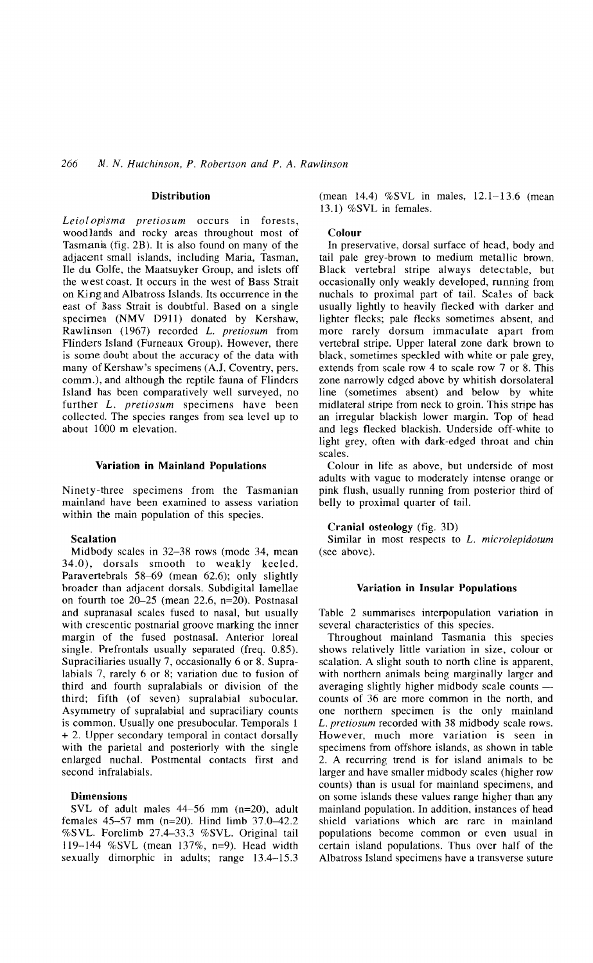### **Distribution**

*Leiolopisma pretiosum* occurs in forests, woodlands and rocky areas throughout most of Tasmania (fig. 2B). It is also found on many of the adjacent small islands, including Maria, Tasman, lie du Golfe, the Maatsuyker Group, and islets off the west coast. It occurs in the west of Bass Strait on King and Albatross Islands. Its occurrence in the east of Bass Strait is doubtful. Based on a single specimen (NMV D911) donated by Kershaw, Rawlinson (1967) recorded L. *pretiosum* from Flinders Island (Furneaux Group). However, there is some doubt about the accuracy of the data with many of Kershaw's specimens (A.I. Coventry, pers. comm.), and although the reptile fauna of Flinders Island has been comparatively well surveyed, no further *L. pretiosum* specimens have been collected. The species ranges from sea level up to about 1000 m elevation.

### Variation in Mainland Populations

Ninety-three specimens from the Tasmanian mainland have been examined to assess variation within the main population of this species.

#### Scalation

Midbody scales in 32-38 rows (mode 34, mean 34.0), dorsals smooth to weakly keeled. Paravertebrals  $58-69$  (mean  $62.6$ ); only slightly broader than adjacent dorsals. Subdigital lamellae on fourth toe 20-25 (mean 22.6, n=20). Postnasal and supranasal scales fused to nasal, but usually with crescentic postnarial groove marking the inner margin of the fused postnasal. Anterior loreal single. Prefrontals usually separated (freq. 0.85). Supraciliaries usually 7, occasionally 6 or 8. Supralabials 7, rarely 6 or 8; variation due to fusion of third and fourth supralabials or division of the third; fifth (of seven) supralabial subocular. Asymmetry of supralabial and supraciliary counts is common. Usually one presubocular. Temporals 1 + 2. Upper secondary temporal in contact dorsally with the parietal and posteriorly with the single enlarged nuchal. Postmental contacts first and second infralabials.

### Dimensions

SVL of adult males 44-56 mm (n=20), adult females  $45-57$  mm (n=20). Hind limb  $37.0-42.2$ %SVL. Forelimb 27.4-33.3 %SVL. Original tail 119-144 %SVL (mean 137%, n=9). Head width sexually dimorphic in adults; range 13.4-15.3

(mean 14.4) %SVL in males, 12.1-13.6 (mean 13.1) %SVL in females.

### Colour

In preservative, dorsal surface of head, body and tail pale grey-brown to medium metallic brown. Black vertebral stripe always detectable, but occasionally only weakly developed, running from nuchals to proximal part of tail. Scales of back usually lightly to heavily flecked with darker and lighter flecks; pale flecks sometimes absent, and more rarely dorsum immaculate apart from vertebral stripe. Upper lateral zone dark brown to black, sometimes speckled with white or pale grey, extends from scale row 4 to scale row 7 or 8. This zone narrowly edged above by whitish dorsolateral line (sometimes absent) and below by white midlateral stripe from neck to groin. This stripe has an irregular blackish lower margin. Top of head and legs flecked blackish. Underside off-white to light grey, often with dark-edged throat and chin scales.

Colour in life as above, but underside of most adults with vague to moderately intense orange or pink flush, usually running from posterior third of belly to proximal quarter of tail.

### Cranial osteology (fig. 3D)

Similar in most respects to L. *microlepidotum* (see above).

### Variation in Insular Populations

Table 2 summarises interpopulation variation in several characteristics of this species.

Throughout mainland Tasmania this species shows relatively little variation in size, colour or scalation. A slight south to north cline is apparent, with northern animals being marginally larger and averaging slightly higher midbody scale counts counts of 36 are more common in the north, and one northern specimen is the only mainland L. *pretiosum* recorded with 38 midbody scale rows. However, much more variation is seen in specimens from offshore islands, as shown in table 2. A recurring trend is for island animals to be larger and have smaller midbody scales (higher row counts) than is usual for mainland specimens, and on some islands these values range higher than any mainland population. In addition, instances of head shield variations which are rare in mainland populations become common or even usual in certain island populations. Thus over half of the Albatross Island specimens have a transverse suture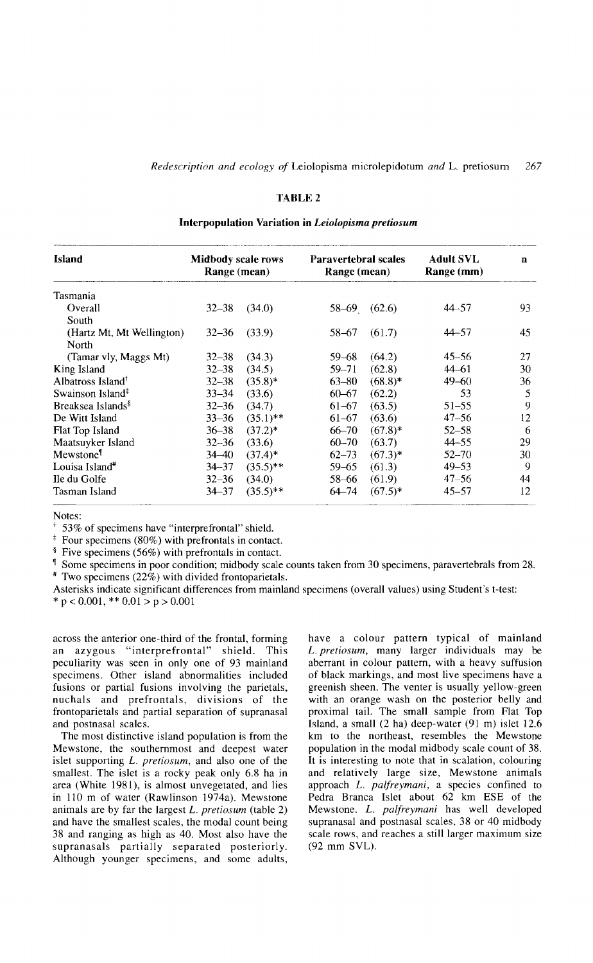## *Redescription and ecology of* Leiolopisma microlepidotum *and* L. pretiosum 267

## TABLE 2

## Interpopulation Variation in *Leiolopisma pretiosum*

| <b>Island</b>                 | Midbody scale rows<br>Range (mean) |             | <b>Paravertebral scales</b><br>Range (mean) |            | <b>Adult SVL</b><br>Range (mm) | n       |
|-------------------------------|------------------------------------|-------------|---------------------------------------------|------------|--------------------------------|---------|
| Tasmania                      |                                    |             |                                             |            |                                |         |
| Overall                       | $32 - 38$                          | (34.0)      | $58-69$ $(62.6)$                            |            | 44–57                          | 93.     |
| South                         |                                    |             |                                             |            |                                |         |
| (Hartz Mt, Mt Wellington)     | $32 - 36$                          | (33.9)      | 58-67                                       | (61.7)     | 44–57                          | 45      |
| North                         |                                    |             |                                             |            |                                |         |
| (Tamar vly, Maggs Mt)         | $32 - 38$                          | (34.3)      | $59 - 68$                                   | (64.2)     | $45 - 56$                      | 27      |
| King Island                   | $32 - 38$                          | (34.5)      | $59 - 71$                                   | (62.8)     | 44–61                          | 30      |
| Albatross Island <sup>†</sup> | $32 - 38$                          | $(35.8)^*$  | $63 - 80$                                   | $(68.8)*$  | $49 - 60$                      | 36      |
| Swainson Island <sup>‡</sup>  | $33 - 34$                          | (33.6)      | $60 - 67$                                   | (62.2)     | 53                             | 5       |
| Breaksea Islands <sup>§</sup> | $32 - 36$                          | (34.7)      | $61 - 67$                                   | (63.5)     | 51–55                          | 9       |
| De Witt Island                | $33 - 36$                          | $(35.1)$ ** | $61 - 67$                                   | (63.6)     | $47 - 56$                      | 12      |
| Flat Top Island               | $36 - 38$                          | $(37.2)*$   | $66 - 70$                                   | $(67.8)^*$ | $52 - 58$                      | 6       |
| Maatsuyker Island             | $32 - 36$                          | (33.6)      | $60 - 70$                                   | (63.7)     | $44 - 55$                      | 29      |
| Mewstone <sup>®</sup>         | $34 - 40$                          | $(37.4)^*$  | $62 - 73$                                   | $(67.3)^*$ | $52 - 70$                      | 30.     |
| Louisa Island <sup>#</sup>    | $34 - 37$                          | $(35.5)$ ** | $59 - 65$                                   | (61.3)     | $49 - 53$                      | 9       |
| Ile du Golfe                  | $32 - 36$                          | (34.0)      | 58-66                                       | (61.9)     | $47 - 56$                      | 44      |
| Tasman Island                 | $34 - 37$                          | $(35.5)$ ** | 64–74                                       | $(67.5)^*$ | $45 - 57$                      | $12 \,$ |

Notes:

53% of specimens have "interprefrontal" shield.

 $\overline{f}$  Four specimens (80%) with prefrontals in contact.

§ Five specimens (56%) with prefrontals in contact.

<sup>1</sup> Some specimens in poor condition; midbody scale counts taken from 30 specimens, paravertebrals from 28.  $*$  Two specimens (22%) with divided frontoparietals.

Asterisks indicate significant differences from mainland specimens (overall values) using Student's t-test:

 $*$  p < 0.001,  $*$  0.01 > p > 0.001

across the anterior one-third of the frontal, forming an azygous "interprefrontal" shield. This peculiarity was seen in only one of 93 mainland specimens. Other island abnormalities included fusions or partial fusions involving the parietals, nuchals and prefrontals, divisions of the frontoparietals and partial separation of supranasal and postnasal scales.

The most distinctive island population is from the Mewstone, the southernmost and deepest water islet supporting *L. pretiosum,* and also one of the smallest. The islet is a rocky peak only 6.8 ha in area (White 1981), is almost unvegetated, and lies in 110 m of water (Rawlinson 1974a). Mewstone animals are by far the largest *L. pretiosum* (table 2) and have the smallest scales, the modal count being 38 and ranging as high as 40. Most also have the supranasals partially separated posteriorly. Although younger specimens, and some adults,

have a colour pattern typical of mainland *L. pretiosum,* many larger individuals may be aberrant in colour pattern, with a heavy suffusion of black markings, and most live specimens have a greenish sheen. The venter is usually yellow-green with an orange wash on the posterior belly and proximal tail. The small sample from Flat Top Island, a small (2 ha) deep-water (91 m) islet 12.6 km to the northeast, resembles the Mewstone population in the modal midbody scale count of 38. It is interesting to note that in scalation, colouring and relatively large size, Mewstone animals approach *L. palfreymani,* a species confined to Pedra Branca Islet about 62 km ESE of the Mewstone. *L. palfreymani* has well developed supranasal and postnasal scales, 38 or 40 midbody scale rows, and reaches a still larger maximum size (92 mm SYL).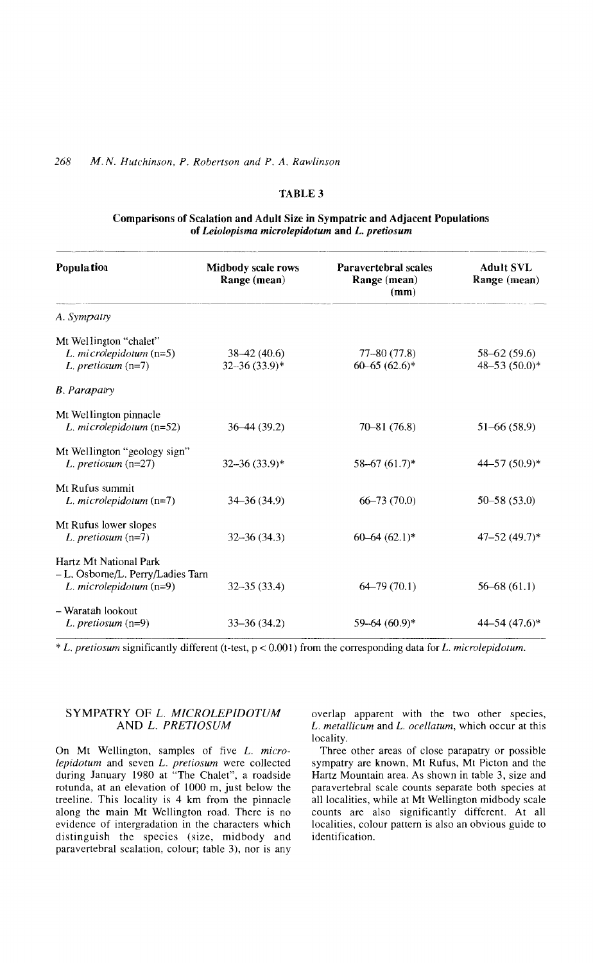## TABLE 3

## Comparisons of Scalation and Adult Size in Sympatric and Adjacent Populations of *Leiolopisma microlepidotum* and L. *pretiosum*

| <b>Population</b>                 | Midbody scale rows<br>Range (mean) | Paravertebral scales<br>Range (mean)<br>(mm) | <b>Adult SVL</b><br>Range (mean) |
|-----------------------------------|------------------------------------|----------------------------------------------|----------------------------------|
| A. Sympatry                       |                                    |                                              |                                  |
| Mt Wellington "chalet"            |                                    |                                              |                                  |
| L. microlepidotum $(n=5)$         | $38-42(40.6)$                      | $77 - 80(77.8)$                              | $58 - 62(59.6)$                  |
| L. pretiosum $(n=7)$              | $32 - 36(33.9)^*$                  | $60-65(62.6)$ *                              | 48-53 $(50.0)*$                  |
| <b>B.</b> Parapatry               |                                    |                                              |                                  |
| Mt Wellington pinnacle            |                                    |                                              |                                  |
| L. microlepidotum $(n=52)$        | $36-44(39.2)$                      | $70 - 81(76.8)$                              | $51-66(58.9)$                    |
| Mt Wellington "geology sign"      |                                    |                                              |                                  |
| L. pretiosum $(n=27)$             | $32 - 36(33.9)^*$                  | $58 - 67$ $(61.7)^*$                         | 44-57 (50.9)*                    |
| Mt Rufus summit                   |                                    |                                              |                                  |
| L. microlepidotum $(n=7)$         | $34 - 36(34.9)$                    | $66 - 73(70.0)$                              | $50 - 58(53.0)$                  |
| Mt Rufus lower slopes             |                                    |                                              |                                  |
| L. pretiosum $(n=7)$              | $32 - 36(34.3)$                    | $60-64(62.1)*$                               | $47 - 52(49.7)^*$                |
| Hartz Mt National Park            |                                    |                                              |                                  |
| - L. Osborne/L. Perry/Ladies Tarn |                                    |                                              |                                  |
| L. microlepidotum $(n=9)$         | $32 - 35(33.4)$                    | $64 - 79(70.1)$                              | $56 - 68(61.1)$                  |
| - Waratah lookout                 |                                    |                                              |                                  |
| $L.$ pretiosum $(n=9)$            | $33 - 36(34.2)$                    | $59 - 64 (60.9)^*$                           | 44–54 (47.6)*                    |
|                                   |                                    |                                              |                                  |

\* *L. pretiosum* significantly different (Hest, p < 0.001) from the corresponding data for *L. microlepidotum.*

## SYMPATRY OF L. *MICROLEPIDOTUM* AND L. *PRETIOSUM*

On Mt Wellington, samples of five *L. microlepidotum* and seven *L. pretiosum* were collected during January 1980 at "The Chalet", a roadside rotunda, at an elevation of 1000 m, just below the treeline. This locality is 4 km from the pinnacle along the main Mt Wellington road. There is no evidence of intergradation in the characters which distinguish the species (size, midbody and paravertebral scalation, colour; table 3), nor is any

overlap apparent with the two other species, *L. metallicum* and *L. ocellalum,* which occur at this locality.

Three other areas of close parapatry or possible sympatry are known, Mt Rufus, Mt Picton and the Hartz Mountain area. As shown in table 3, size and paravertebral scale counts separate both species at all localities, while at Mt Wellington midbody scale counts are also significantly different. At all localities, colour pattern is also an obvious guide to identification.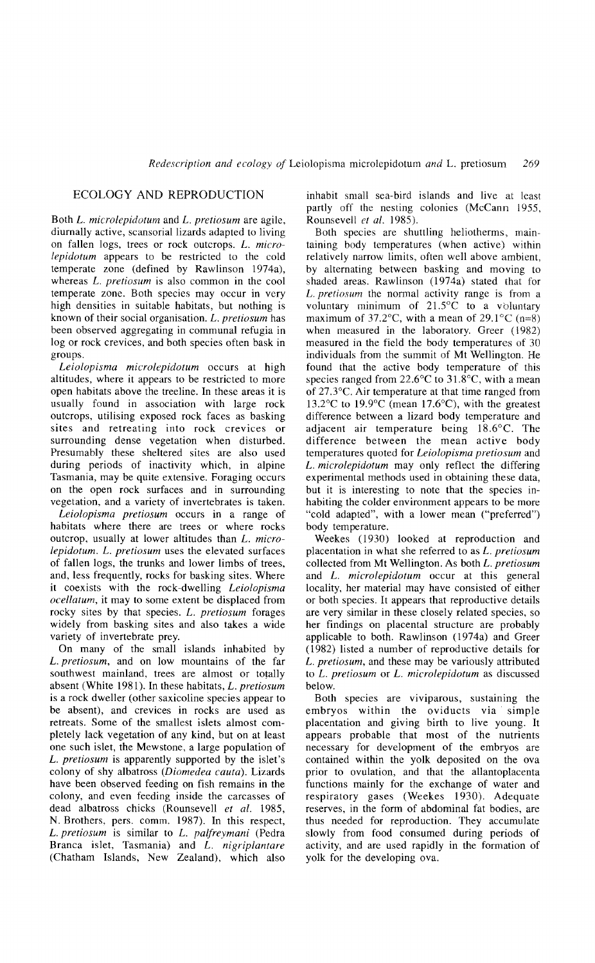## ECOLOGY AND REPRODUCTION

Both *L. microlepidotum* and *L. pretiosum* are agile, diurnally active, scansorial lizards adapted to living on fallen logs, trees or rock outcrops. *L. microlepidotum* appears to be restricted to the cold temperate zone (defined by Rawlinson 1974a), whereas *L. pretiosum* is also common in the cool temperate zone. Both species may occur in very high densities in suitable habitats, but nothing is known of their social organisation. *L. pretiosum* has been observed aggregating in communal refugia in log or rock crevices, and both species often bask in groups.

*Leiolopisma microlepidotum* occurs at high altitudes, where it appears to be restricted to more open habitats above the treeline. In these areas it is usually found in association with large rock outcrops, utilising exposed rock faces as basking sites and retreating into rock crevices or surrounding dense vegetation when disturbed. Presumably these sheltered sites are also used during periods of inactivity which, in alpine Tasmania, may be quite extensive. Foraging occurs on the open rock surfaces and in surrounding vegetation, and a variety of invertebrates is taken.

*Leiolopisma pretiosum* occurs in a range of habitats where there are trees or where rocks outcrop, usually at lower altitudes than *L. microlepidotum. L. pretiosum* uses the elevated surfaces of fallen logs, the trunks and lower limbs of trees, and, less frequently, rocks for basking sites. Where it coexists with the rock-dwelling *Leiolopisma ocellatum*, it may to some extent be displaced from rocky sites by that species. *L. pretiosum* forages widely from basking sites and also takes a wide variety of invertebrate prey.

On many of the small islands inhabited by *L. pretiosum,* and on low mountains of the far southwest mainland, trees are almost or totally absent (White 1981). In these habitats, *L. pretiosum* is a rock dweller (other saxicoline species appear to be absent), and crevices in rocks are used as retreats. Some of the smallest islets almost completely lack vegetation of any kind, but on at least one such islet, the Mewstone, a large population of *L. pretiosum* is apparently supported by the islet's colony of shy albatross *(Diomedea cauta).* Lizards have been observed feeding on fish remains in the colony, and even feeding inside the carcasses of dead albatross chicks (Rounsevell *et al. 1985,* N. Brothers, pers. comm. 1987). In this respect, *L. pretiosum* is similar to *L. palfreymani* (Pedra Branca islet, Tasmania) and *L. nigriplantare* (Chatham Islands, New Zealand), which also

inhabit small sea-bird islands and live at least partly off the nesting colonies (McCann 1955, Rounsevell *et al. 1985).*

Both species are shuttling heliotherms, maintaining body temperatures (when active) within relatively narrow limits, often well above ambient, by alternating between basking and moving to shaded areas. Rawlinson (1974a) stated that for *L. pretiosum* the normal activity range is from a voluntary minimum of  $21.5^{\circ}$ C to a voluntary maximum of 37.2 $\degree$ C, with a mean of 29.1 $\degree$ C (n=8) when measured in the laboratory. Greer (1982) measured in the field the body temperatures of 30 individuals from the summit of Mt Wellington. He found that the active body temperature of this species ranged from  $22.6^{\circ}$ C to  $31.8^{\circ}$ C, with a mean of 27.3°C. Air temperature at that time ranged from 13.2°C to 19.9°C (mean 17.6°C), with the greatest difference between a lizard body temperature and adjacent air temperature being 18.6°C. The difference between the mean active body temperatures quoted for *Leiolopisma pretiosum* and *L. microlepidotum* may only reflect the differing experimental methods used in obtaining these data, but it is interesting to note that the species inhabiting the colder environment appears to be more "cold adapted", with a lower mean ("preferred") body temperature.

Weekes (1930) looked at reproduction and placentation in what she referred to as *L. pretiosum* collected from Mt Wellington. As both *L. pretiosum* and *L. microlepidotum* occur at this general locality, her material may have consisted of either or both species. It appears that reproductive details are very similar in these closely related species, so her findings on placental structure are probably applicable to both. Rawlinson (1974a) and Greer (1982) listed a number of reproductive details for *L. pretiosum,* and these may be variously attributed to *L. pretiosum* or *L. microlepidotum* as discussed below.

Both species are viviparous, sustaining the embryos within the oviducts via simple placentation and giving birth to live young. It appears probable that most of the nutrients necessary for development of the embryos are contained within the yolk deposited on the ova prior to ovulation, and that the allamoplacenta functions mainly for the exchange of water and respiratory gases (Weekes 1930). Adequate reserves, in the form of abdominal fat bodies, are thus needed for reproduction. They accumulate slowly from food consumed during periods of activity, and are used rapidly in the formation of yolk for the developing ova.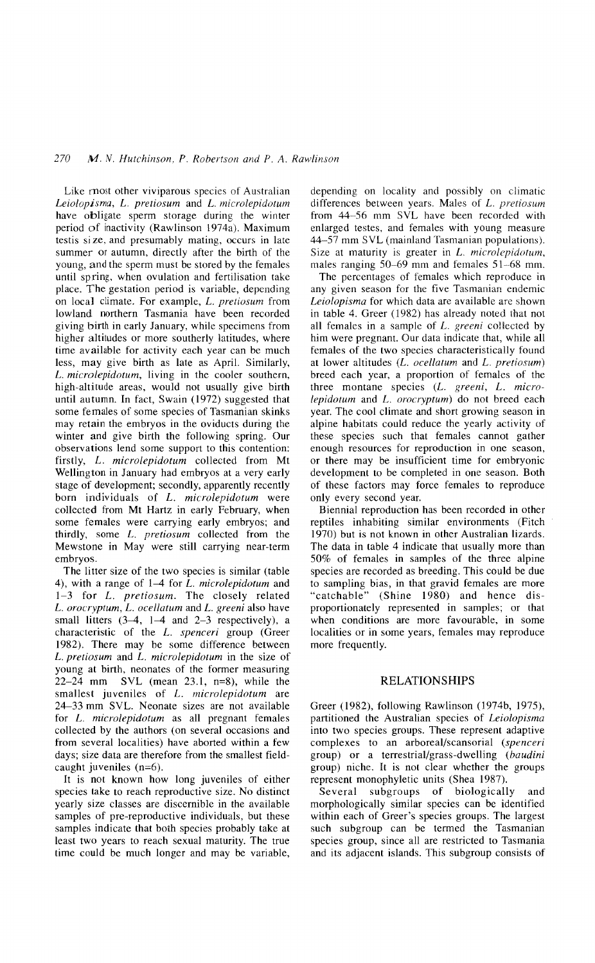Like most other viviparous species of Australian *Leiolopisma,* L. *pretiosum* and L. *microlepidotum* have obligate sperm storage during the winter period of inactivity (Rawlinson 1974a). Maximum testis si ze. and presumably mating, occurs in late summer or autumn, directly after the birth of the young, and the sperm must be stored by the females until spring, when ovulation and fertilisation take place. The gestation period is variable, depending on local climate. For example, L. *pretiosum* from lowland northern Tasmania have been recorded giving birth in early January, while specimens from higher altitudes or more southerly latitudes, where time available for activity each year can be much less, may give birth as late as April. Similarly, L. *microlepidotum,* living in the cooler southern, high-altitude areas, would not usually give birth until autumn. In fact, Swain (1972) suggested that some females of some species of Tasmanian skinks may retain the embryos in the oviducts during the winter and give birth the following spring. Our observations lend some support to this contention: firstly, L. *microlepidotum* collected from Mt Wellington in January had embryos at a very early stage of development; secondly, apparently recently born individuals of *L. microlepidotum* were collected from Mt Hartz in early February, when some females were carrying early embryos; and thirdly, some L. *pretiosum* collected from the Mewstone in May were still carrying near-term embryos.

The litter size of the two species is similar (table 4), with a range of 1–4 for *L. microlepidotum* and 1-3 for *L. pretiosum.* The closely related L. *orocryptum,* L. *ocellatum* and L. *greeni* also have small litters  $(3-4, 1-4$  and  $2-3$  respectively), a characteristic of the L. *spenceri* group (Greer 1982). There may be some difference between L. *pretiosum* and L. *microlepidotum* in the size of young at birth, neonates of the former measuring 22-24 mm SVL (mean 23.1, n=8), while the smallest juveniles of L. *microlepidotum* are 24-33 mm SVL. Neonate sizes are not available for L. *microlepidotum* as all pregnant females collected by the authors (on several occasions and from several localities) have aborted within a few days; size data are therefore from the smallest fieldcaught juveniles (n=6).

It is not known how long juveniles of either species take to reach reproductive size. No distinct yearly size classes are discernible in the available samples of pre-reproductive individuals, but these samples indicate that both species probably take at least two years to reach sexual maturity. The true time could be much longer and may be variable,

depending on locality and possibly on climatic differences between years. Males of L. *pretiosum* from 44~56 mm SVL have been recorded with enlarged testes, and females with young measure 44-57 mm SVL (mainland Tasmanian populations). Size at maturity is greater in L. *microlepidotum,* males ranging  $50-69$  mm and females  $51-68$  mm.

The percentages of females which reproduce in any given season for the five Tasmanian endemic *Leiolopisma* for which data are available are shown in table 4. Greer (1982) has already noted that not all females in a sample of L. *greeni* collected by him were pregnant. Our data indicate that, while all females of the two species characteristically found at lower altitudes (L. *ocellatum* and L. *pretiosum)* breed each year, a proportion of females of the three montane species (L. *greeni, L. microlepidotum* and L. *orocryptum)* do not breed each year. The cool climate and short growing season in alpine habitats could reduce the yearly activity of these species such that females cannot gather enough resources for reproduction in one season, or there may be insufficient time for embryonic development to be completed in one season. Both of these factors may force females to reproduce only every second year.

Biennial reproduction has been recorded in other reptiles inhabiting similar environments (Fitch 1970) but is not known in other Australian lizards. The data in table 4 indicate that usually more than 50% of females in samples of the three alpine species are recorded as breeding. This could be due to sampling bias, in that gravid females are more "catchable" (Shine 1980) and hence disproportionately represented in samples; or that when conditions are more favourable, in some localities or in some years, females may reproduce more frequently.

## RELATIONSHIPS

Greer (1982), following Rawlinson (1974b, 1975), partitioned the Australian species of *Leiolopisma* into two species groups. These represent adaptive complexes to an arboreal/scansorial *(spenceri* group) or a terrestrial/grass-dwelling *(baudini* group) niche. It is not clear whether the groups represent monophyletic units (Shea 1987).

Several subgroups of biologically and morphologically similar species can be identified within each of Greer's species groups. The largest such subgroup can be termed the Tasmanian species group, since all are restricted to Tasmania and its adjacent islands. This subgroup consists of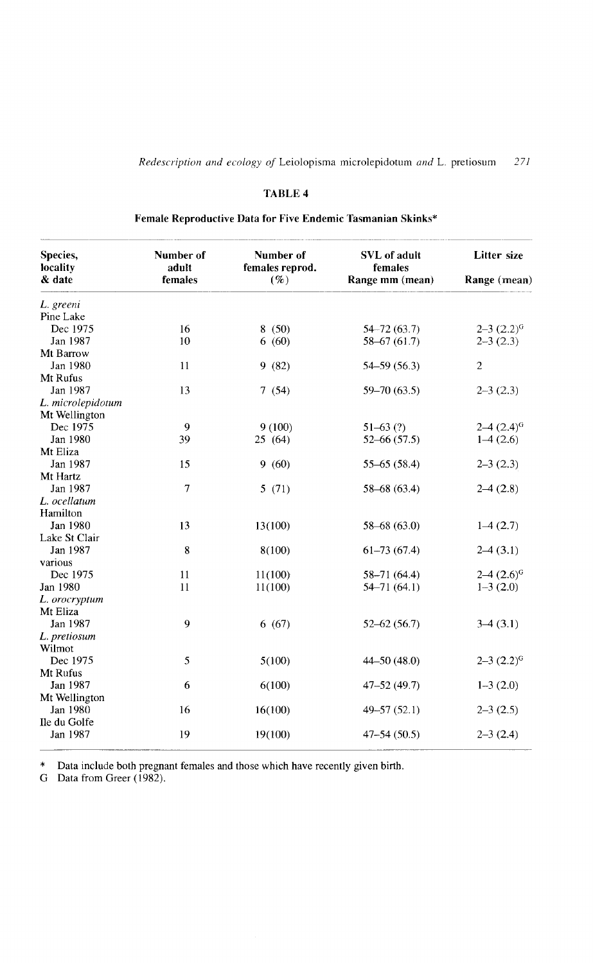# *Redescription and ecology of* Leiolopisma microlepidotum *and* L. pretiosum 271

## TABLE 4

Female Reproductive Data for Five Endemic Tasmanian Skinks\*

| L. greeni<br>Dec 1975<br>Jan 1987 | 16<br>10 |         |                 |                     |
|-----------------------------------|----------|---------|-----------------|---------------------|
| Pine Lake                         |          |         |                 |                     |
|                                   |          |         |                 |                     |
|                                   |          | 8(50)   | $54 - 72(63.7)$ | $2 - 3$ $(2.2)^{G}$ |
|                                   |          | 6(60)   | $58 - 67(61.7)$ | $2 - 3(2.3)$        |
| Mt Barrow                         |          |         |                 |                     |
| Jan 1980                          | 11       | 9(82)   | 54–59 (56.3)    | $\overline{c}$      |
| Mt Rufus                          |          |         |                 |                     |
| Jan 1987                          | 13       | 7(54)   | $59 - 70(63.5)$ | $2 - 3(2.3)$        |
| L. microlepidotum                 |          |         |                 |                     |
| Mt Wellington                     |          |         |                 |                     |
| Dec 1975                          | 9        | 9(100)  | $51-63(?)$      | $2-4$ $(2.4)^{G}$   |
| Jan 1980                          | 39       | 25(64)  | $52 - 66(57.5)$ | $1-4(2.6)$          |
| Mt Eliza                          |          |         |                 |                     |
| Jan 1987                          | 15       | 9(60)   | $55-65(58.4)$   | $2-3(2.3)$          |
| Mt Hartz                          |          |         |                 |                     |
| Jan 1987                          | 7        | 5(71)   | $58 - 68(63.4)$ | $2-4(2.8)$          |
| L. ocellatum                      |          |         |                 |                     |
| Hamilton                          |          |         |                 |                     |
| Jan 1980                          | 13       | 13(100) | $58 - 68(63.0)$ | $1-4(2.7)$          |
| Lake St Clair                     |          |         |                 |                     |
| Jan 1987                          | 8        | 8(100)  | $61-73(67.4)$   | $2-4(3.1)$          |
| various                           |          |         |                 |                     |
| Dec 1975                          | 11       | 11(100) | $58 - 71(64.4)$ | $2-4$ $(2.6)^{6}$   |
| Jan 1980                          | 11       | 11(100) | $54 - 71(64.1)$ | $1-3(2.0)$          |
| L. orocryptum                     |          |         |                 |                     |
| Mt Eliza                          |          |         |                 |                     |
| Jan 1987                          | 9        | 6(67)   | $52 - 62(56.7)$ | $3-4(3.1)$          |
| L. pretiosum                      |          |         |                 |                     |
| Wilmot                            |          |         |                 |                     |
| Dec 1975                          | 5        | 5(100)  | $44 - 50(48.0)$ | $2 - 3(2.2)^{G}$    |
| Mt Rufus                          |          |         |                 |                     |
| Jan 1987                          | 6        | 6(100)  | $47 - 52(49.7)$ | $1-3(2.0)$          |
| Mt Wellington                     |          |         |                 |                     |
| Jan 1980                          | 16       | 16(100) | $49 - 57(52.1)$ | $2-3(2.5)$          |
| Ile du Golfe                      |          |         |                 |                     |
| Jan 1987                          | 19       | 19(100) | $47 - 54(50.5)$ | $2 - 3(2.4)$        |

\* Data include both pregnant females and those which have recently given birth.

G Data from Greer (1982).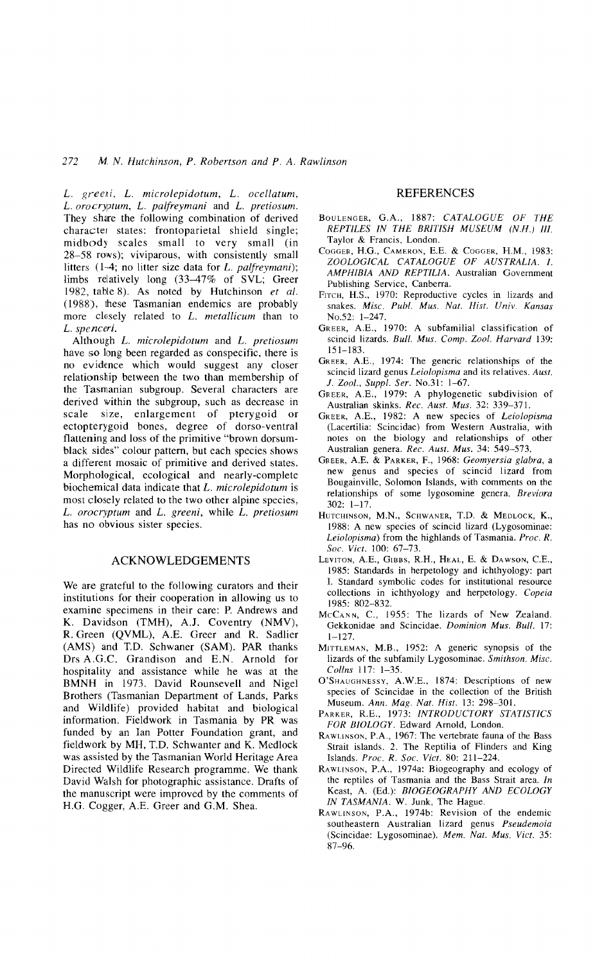L. *greeni,* L. *microlepidotum,* L. *ocellatum,* L. *orocryptum,* L. *palfreymani* and L. *pretiosum.* They share the following combination of derived character states: frontoparietal shield single; midbody scales small to very small (in 28-58 rows); viviparous, with consistently small litters (1-4; no litter size data for L. *palfreymani);* limbs relatively long (33–47% of SVL; Greer 1982, table 8). As noted by Hutchinson *et al.* (1988), these Tasmanian endemics are probably more closely related to L. *metallicum* than to L. *spenceri.*

Although L. *microlepidotum* and L. *pretiosum* have so long been regarded as conspecific, there is no evidence which would suggest any closer relationship between the two than membership of the Tasmanian subgroup. Several characters are derived within the subgroup, such as decrease in scale size, enlargement of pterygoid or ectopterygoid bones, degree of dorso-ventral flattening and loss of the primitive "brown dorsumblack sides" colour pattern, but each species shows a different mosaic of primitive and derived states. Morphological, ecological and nearly-complete biochemical data indicate that L. *microlepidotum* is most closely related to the two other alpine species, L. *orocryptum* and L. *greeni,* while L. *pretiosum* has no obvious sister species.

## ACKNOWLEDGEMENTS

We are grateful to the following curators and their institutions for their cooperation in allowing us to examine specimens in their care: P. Andrews and K. Davidson (TMH), *A.I.* Coventry (NMV), R. Green (QVML), A.E. Greer and R. Sadlier (AMS) and T.D. Schwaner (SAM). PAR thanks Drs A.G.C. Grandison and E.N. Arnold for hospitality and assistance while he was at the BMNH in 1973. David Rounsevell and Nigel Brothers (Tasmanian Department of Lands, Parks and Wildlife) provided habitat and biological information. Fieldwork in Tasmania by PR was funded by an Ian Potter Foundation grant, and fieldwork by MH, T.D. Schwanter and K. Medlock was assisted by the Tasmanian World Heritage Area Directed Wildlife Research programme. We thank David Walsh for photographic assistance. Drafts of the manuscript were improved by the comments of H.G. Cogger, A.E. Greer and G.M. Shea.

## REFERENCES

- BOULENGER, G.A., 1887: *CATALOGUE OF THE REPTILES IN THE BRITISH MUSEUM (N.H.) III.* Taylor & Francis, London.
- COGGER, RG., CAMERON, E.E. & COGGER, H.M., 1983: *ZOOLOGICAL CATALOGUE OF AUSTRALIA. I. AMPHIBIA AND REPTILIA.* Australian Government Publishing Service, Canberra.
- FITCH, H.S., 1970: Reproductive cycles in lizards and snakes. *Misc. Publ. Mus. Nat. Hist. Univ. Kansas* NO.52: 1-247.
- GREER, A.E., 1970: A subfamilial classification of  $s$ cincid lizards. *Bull. Mus. Comp. Zool. Harvard* 139: 151-183.
- GREER, A.E., 1974: The generic relationships of the scincid lizard genus *Leiolopisma* and its relatives. *Aust. 1. Zool., Suppl. Ser.* No.31: 1-67.
- GREER, A.E., 1979: A phylogenetic subdivision of Australian skinks. *Rec. Aust. Mus.* 32: 339-371.
- GREER, A.E., 1982: A new species of *Leiolopisma* (Lacertilia: Scincidae) from Western Australia, with notes on the biology and relationships of other Australian genera. *Rec. Aust. Mus.* 34: 549-573.
- GREER, A.E. & PARKER, F., 1968: *Geomyersia glabra,* a new genus and species of scincid lizard from Bougainville, Solomon Islands, with comments on the relationships of some lygosomine genera. *Breviora* 302: 1-17.
- HUTCHINSON, M.N., SCHWANER, T.D. & MEDLOCK, K., 1988: A new species of scincid lizard (Lygosominae: *Leiolopisma)* from the highlands of Tasmania. *Proc. R. Soc. Viet.* 100: 67-73.
- LEVITON, A.E., GIBBS, R.H., HEAL, E. & DAWSON, C.E., 1985: Standards in herpetology and ichthyology: part I. Standard symbolic codes for institutional resource collections in ichthyology and herpetology. *Copeia* 1985: 802-832.
- MCCANN, c., 1955: The lizards of New Zealand. Gekkonidae and Scincidae. *Dominion Mus. Bull.* 17:  $1 - 127$ .
- MITTLEMAN, M.B., 1952: A generic synopsis of the lizards of the subfamily Lygosominae. *Smithson. Misc. Collns* 117: 1-35.
- O'SHAUGHNESSY, A.W.E., 1874: Descriptions of new species of Scincidae in the collection of the British Museum. *Ann. Mag. Nat. Hist.* 13: 298-301.
- PARKER, R.E., 1973: *INTRODUCTORY STATISTICS FOR BIOLOGY.* Edward Arnold, London.
- RAWLINSON, P.A., 1967: The vertebrate fauna of the Bass Strait islands. 2. The Reptilia of Flinders and King Islands. *Proe. R. Soc. Viet.* 80: 211-224.
- RAWLINSON, P.A., 1974a: Biogeography and ecology of the reptiles of Tasmania and the Bass Strait area. *In* Keast, A. (Ed.): *BIOGEOGRAPHY AND ECOLOGY IN TASMANIA.* W. Junk, The Hague.
- RAWLINSON, P.A., 1974b: Revision of the endemic southeastern Australian lizard genus *Pseudemoia* (Scincidae: Lygosominae). *Mem. Nat. Mus. Viet.* 35: 87-96.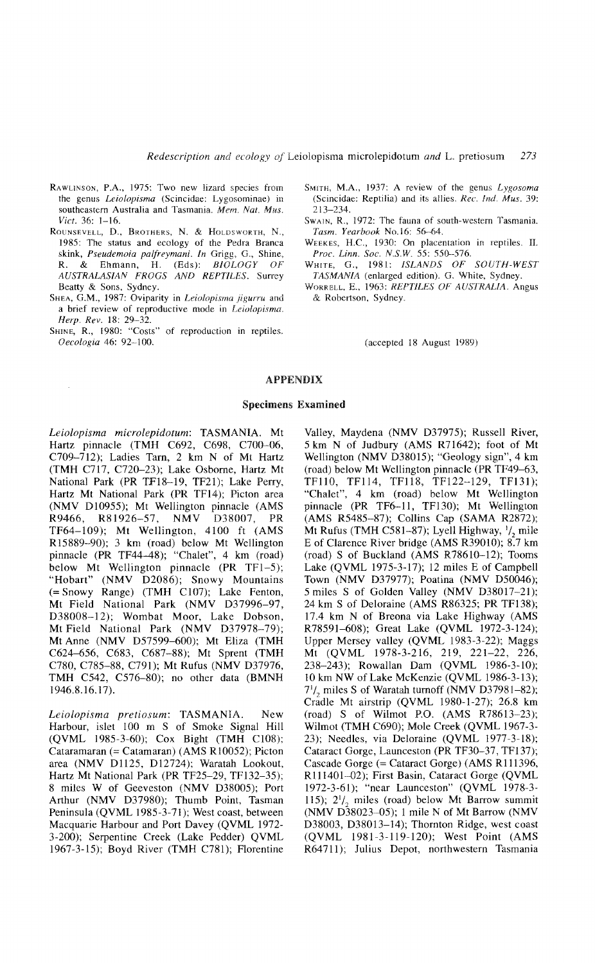- RAWLINSON, P.A., 1975: Two new lizard species from the genus *Leiolopisma* (Scincidae: Lygosominae) in southeastern Australia and Tasmania. *Mem. Nat. Mus. Viet.* 36: 1-16.
- ROUNSEVELL, D., BROTHERS, N. & HOLDSWORTH, N., 1985: The status and ecology of the Pedra Branca skink, *Pseudemoia palfreymani. In* Grigg, G., Shine, R. & Ehmann, H. (Eds): *BIOLOGY OF AUSTRALASIAN FROGS AND REPTILES.* Surrey Beatty & Sons, Sydney.
- SHEA, G.M., 1987: Oviparity in *Leiolopisma jigurru* and a brief review of reproductive mode in *Leiolopisma. Herp. Rev.* 18: 29-32.
- SHINE, R., 1980: "Costs" of reproduction in reptiles. *Oeeologia* 46: 92-100.

 $\bar{z}$ 

- SMITH, M.A., 1937: A review of the genus *Lygosoma* (Scincidae: Reptilia) and its allies. *Ree. Ind. Mus. 39:* 213-234.
- SWAIN, R., 1972: The fauna of south-western Tasmania. *Tasm. Yearbook* No.16: 56--64.
- WEEKES, H.C., 1930: On placentation in reptiles. II. *Proe. Linn. Soc. N.S.W.* 55: 550-576.
- WHITE, G., 1981: *ISLANDS OF SOUTH-WEST TASMANIA* (enlarged edition). G. White, Sydney.
- WORRELL, E., 1963: *REPTILES OF AUSTRALIA.* Angus & Robertson, Sydney.

(accepted 18 August 1989)

## APPENDIX

### Specimens Examined

*Leiolopisma microlepidotum:* TASMANIA. Mt Hartz pinnacle (TMH C692, C698, C700-06, C709-712); Ladies Tam, 2 km N of Mt Hartz (TMH C717, C720-23); Lake Osborne, Hartz Mt National Park (PR TFI8-19, TF2l); Lake Perry, Hartz Mt National Park (PR TFI4); Picton area (NMV 010955); Mt Wellington pinnacle (AMS R9466, R81926-57, NMV D38007, PR TF64-109); Mt Wellington, 4100 ft (AMS RI5889-90); 3 km (road) below Mt Wellington pinnacle (PR TF44-48); "Chalet", 4 km (road) below Mt Wellington pinnacle (PR TF1-5); "Hobart" (NMV D2086); Snowy Mountains (= Snowy Range) (TMH CI07); Lake Fenton, Mt Field National Park (NMV D37996-97, D38008-12); Wombat Moor, Lake Dobson, Mt Field National Park (NMV D37978-79); Mt Anne (NMV 057599-600); Mt Eliza (TMH C624-656, C683, C687-88); Mt Sprent (TMH *cno,* C785-88, C79l); Mt Rufus (NMV 037976, TMH C542, C576-80); no other data (BMNH 1946.8.16.17).

*Leiolopisma pretiosum:* TASMANIA. New Harbour, islet 100 m S of Smoke Signal Hill (QVML 1985-3-60); Cox Bight (TMH C108); Cataramaran (= Catamaran) (AMS RI0052); Picton area (NMV D1125, D12724); Waratah Lookout, Hartz Mt National Park (PR TF25-29, TFI32-35); 8 miles W of Geeveston (NMV 038005); Port Arthur (NMV D37980); Thumb Point, Tasman Peninsula (QVML 1985-3-71); West coast, between Macquarie Harbour and Port Davey (QVML 1972- 3-200); Serpentine Creek (Lake Pedder) QVML 1967-3-15); Boyd River (TMH C78l); Florentine

Valley, Maydena (NMV D37975); Russell River, 5 km N of Judbury (AMS R71642); foot of Mt Wellington (NMV D38015); "Geology sign", 4 km (road) below Mt Wellington pinnacle (PR TF49-63, TFII0, TF114, TF118, TFI22-129, TFI3l); "Chalet", 4 km (road) below Mt Wellington pinnacle (PR TF6-11, TFI30); Mt Wellington (AMS R5485-87); Collins Cap (SAMA R2872); Mt Rufus (TMH C581-87); Lyell Highway,  $\frac{1}{2}$  mile E of Clarence River bridge (AMS R3901O); 8.7 km (road) S of Buckland (AMS R7861O-12); Tooms Lake (QVML 1975-3-17); 12 miles E of Campbell Town (NMV D37977); Poatina (NMV D50046); 5 miles S of Golden Valley (NMV 038017-21); 24 km S of Oeloraine (AMS R86325; PR TFI38); 17.4 km N of Breona via Lake Highway (AMS R78591-608); Great Lake (QVML 1972-3-124); Upper Mersey valley (QVML 1983-3-22); Maggs Mt (QVML 1978-3-216, 219, 221-22, 226, 238-243); Rowallan Dam (QVML 1986-3-10); 10 km NW of Lake McKenzie (QVML 1986-3-13);  $7^{1}/_{2}$  miles S of Waratah turnoff (NMV D37981-82); Cradle Mt airstrip (QVML 1980-1-27); 26.8 km (road) S of Wilmot P.O. (AMS R78613-23); Wilmot (TMH C690); Mole Creek (QVML 1967-3- 23); Needles, via Deloraine (QVML 1977-3-18); Cataract Gorge, Launceston (PR TF30-37, TFI37); Cascade Gorge (= Cataract Gorge) (AMS RI11396, R111401-02); First Basin, Cataract Gorge (QVML 1972-3-61); "near Launceston" (QVML 1978-3- 115);  $2^{1}/_{2}$  miles (road) below Mt Barrow summit (NMV 038023-05); 1 mile N of Mt Barrow (NMV 038003, 038013-14); Thornton Ridge, west coast (QVML 1981-3-119-120); West Point (AMS R6471l); Julius Depot, northwestern Tasmania